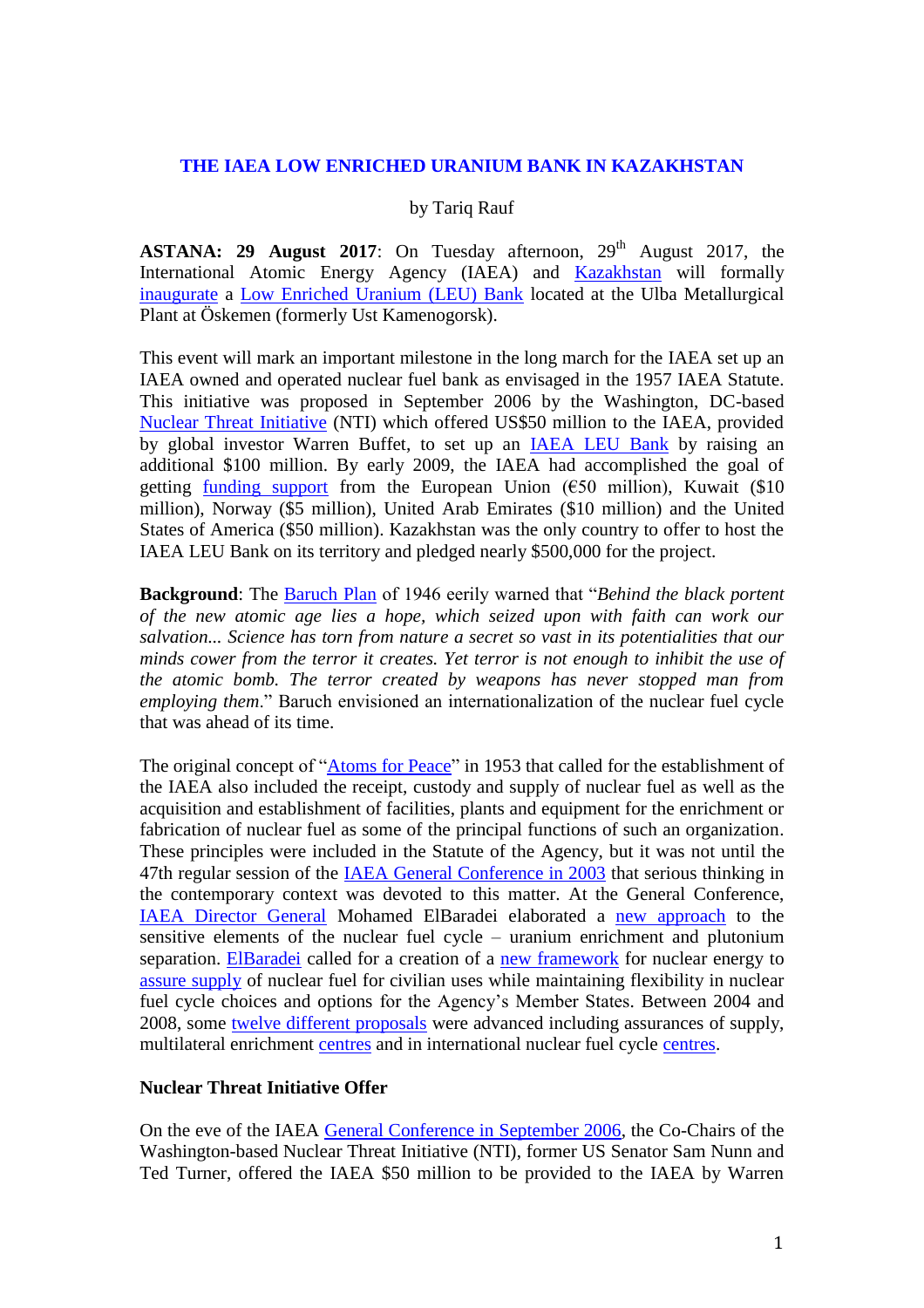## **THE IAEA LOW ENRICHED URANIUM BANK IN KAZAKHSTAN**

## by Tariq Rauf

**ASTANA: 29 August 2017:** On Tuesday afternoon,  $29<sup>th</sup>$  August 2017, the International Atomic Energy Agency (IAEA) and [Kazakhstan](https://www.iaea.org/newscenter/news/iaea-and-kazakhstan-sign-agreement-establish-low-enriched-uranium-bank) will formally [inaugurate](http://www.nti.org/media/documents/ElBaradei_Statement_on_IAEA_LEU_Bank.pdf) a [Low Enriched Uranium \(LEU\) Bank](http://www.nti.org/newsroom/news/leu-bank-press-materials/) located at the Ulba Metallurgical Plant at Öskemen (formerly Ust Kamenogorsk).

This event will mark an important milestone in the long march for the IAEA set up an IAEA owned and operated nuclear fuel bank as envisaged in the 1957 IAEA Statute. This initiative was proposed in September 2006 by the Washington, DC-based [Nuclear Threat Initiative](http://www.nti.org/newsroom/news/leu-bank-press-materials/) (NTI) which offered US\$50 million to the IAEA, provided by global investor Warren Buffet, to set up an [IAEA LEU Bank](https://www.nti.org/media/documents/NTI_LEU_Bank_Fact_Sheet-letterhead_-_Aug1_jrsubNv.pdf) by raising an additional \$100 million. By early 2009, the IAEA had accomplished the goal of getting [funding support](https://www.nti.org/media/documents/NTI_LEU_Donor_Table.pdf) from the European Union ( $\epsilon$ 50 million), Kuwait (\$10 million), Norway (\$5 million), United Arab Emirates (\$10 million) and the United States of America (\$50 million). Kazakhstan was the only country to offer to host the IAEA LEU Bank on its territory and pledged nearly \$500,000 for the project.

**Background**: The [Baruch Plan](https://history.state.gov/milestones/1945-1952/baruch-plans) of 1946 eerily warned that "*Behind the black portent of the new atomic age lies a hope, which seized upon with faith can work our salvation... Science has torn from nature a secret so vast in its potentialities that our minds cower from the terror it creates. Yet terror is not enough to inhibit the use of the atomic bomb. The terror created by weapons has never stopped man from employing them*." Baruch envisioned an internationalization of the nuclear fuel cycle that was ahead of its time.

The original concept of ["Atoms for Peace"](https://www.iaea.org/about/history/atoms-for-peace-speech) in 1953 that called for the establishment of the IAEA also included the receipt, custody and supply of nuclear fuel as well as the acquisition and establishment of facilities, plants and equipment for the enrichment or fabrication of nuclear fuel as some of the principal functions of such an organization. These principles were included in the Statute of the Agency, but it was not until the 47th regular session of the [IAEA General Conference in 2003](https://www.iaea.org/About/Policy/GC/GC47/GC47Records/English/gc47or-1_en.pdf) that serious thinking in the contemporary context was devoted to this matter. At the General Conference, [IAEA Director General](https://www.iaea.org/newscenter/statements/towards-safer-world) Mohamed ElBaradei elaborated a [new approach](https://www.iaea.org/sites/default/files/49204845963.pdf) to the sensitive elements of the nuclear fuel cycle – uranium enrichment and plutonium separation. [ElBaradei](http://www.nti.org/gsn/article/elbaradei-repeats-call-for-more-international-control-over-nuclear-fuel-cycle-activities/) called for a creation of a [new framework](https://www.iaea.org/newscenter/news/expert-group-meeting-control-nuclear-fuel-cycle) for nuclear energy to [assure supply](https://www.iaea.org/newscenter/statements/towards-safer-world) of nuclear fuel for civilian uses while maintaining flexibility in nuclear fuel cycle choices and options for the Agency's Member States. Between 2004 and 2008, some [twelve different proposals](https://www.iaea.org/sites/default/files/49204845963.pdf) were advanced including assurances of supply, multilateral enrichment [centres](http://eng.iuec.ru/) and in international nuclear fuel cycle [centres.](https://www.iaea.org/OurWork/ST/NE/NEFW/Assurance-of-Supply/iuec.html)

## **Nuclear Threat Initiative Offer**

On the eve of the IAEA [General Conference in September 2006,](https://www.iaea.org/About/Policy/GC/GC50/SideEvent/report220906.pdf) the Co-Chairs of the Washington-based Nuclear Threat Initiative (NTI), former US Senator Sam Nunn and Ted Turner, offered the IAEA \$50 million to be provided to the IAEA by Warren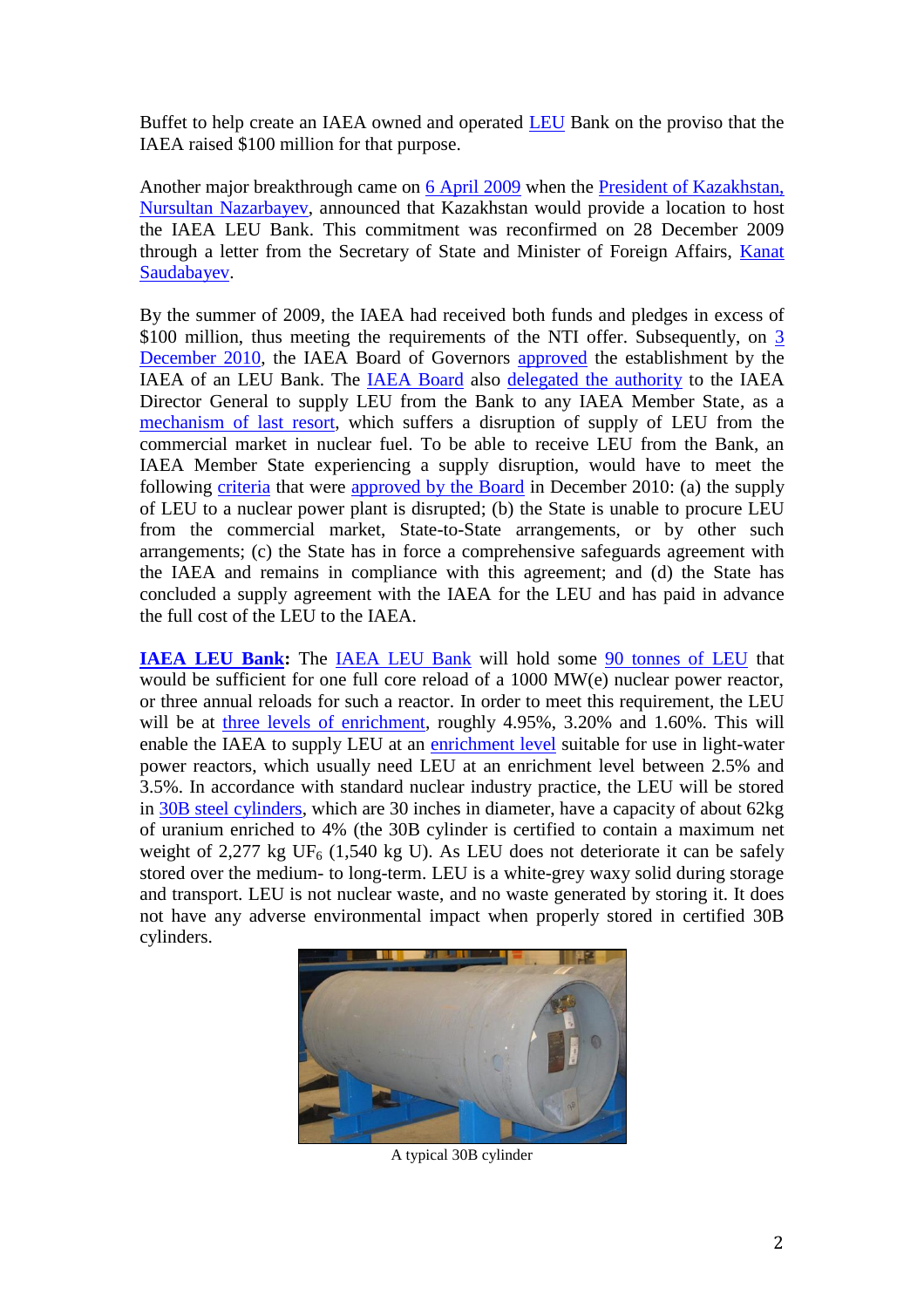Buffet to help create an IAEA owned and operated [LEU](https://www.iaea.org/topics/leubank/what-is-leu) Bank on the proviso that the IAEA raised \$100 million for that purpose.

Another major breakthrough came on [6 April 2009](http://bellona.org/news/nuclear-issues/nuclear-agreements/2009-04-kazakhstan-and-white-house-confirm-former-soviet-republic-lead-contender-for-international-fuel-bank) when the [President of Kazakhstan,](http://bellona.org/news/nuclear-issues/nuclear-agreements/2009-04-kazakhstan-and-white-house-confirm-former-soviet-republic-lead-contender-for-international-fuel-bank)  [Nursultan Nazarbayev,](http://bellona.org/news/nuclear-issues/nuclear-agreements/2009-04-kazakhstan-and-white-house-confirm-former-soviet-republic-lead-contender-for-international-fuel-bank) announced that Kazakhstan would provide a location to host the IAEA LEU Bank. This commitment was reconfirmed on 28 December 2009 through a letter from the Secretary of State and Minister of Foreign Affairs, [Kanat](https://www.iaea.org/sites/default/files/publications/documents/infcircs/2010/infcirc782.pdf)  [Saudabayev.](https://www.iaea.org/sites/default/files/publications/documents/infcircs/2010/infcirc782.pdf)

By the summer of 2009, the IAEA had received both funds and pledges in excess of \$100 million, thus meeting the requirements of the NTI offer. Subsequently, on 3 [December 2010,](http://www.world-nuclear-news.org/ENF-IAEA_approves_global_nuclear_fuel_bank-0612105.html) the IAEA Board of Governors [approved](http://www.armscontrolwonk.com/files/2011/01/Support_document.pdf) the establishment by the IAEA of an LEU Bank. The [IAEA Board](http://cns.miis.edu/nam/documents/Official_Document/GOVOR1289.link.pdf) also [delegated the authority](https://www.armscontrol.org/ACT/2015_10/Features/From-Atoms-for-Peace-to-an-IAEA-Nuclear-Fuel-Bank) to the IAEA Director General to supply LEU from the Bank to any IAEA Member State, as a [mechanism of last resort,](https://www.armscontrol.org/ACT/2015_10/Features/From-Atoms-for-Peace-to-an-IAEA-Nuclear-Fuel-Bank) which suffers a disruption of supply of LEU from the commercial market in nuclear fuel. To be able to receive LEU from the Bank, an IAEA Member State experiencing a supply disruption, would have to meet the following [criteria](https://www.armscontrol.org/ACT/2015_10/Features/From-Atoms-for-Peace-to-an-IAEA-Nuclear-Fuel-Bank) that were [approved by the Board](http://cns.miis.edu/nam/documents/Official_Document/GOVOR1289.link.pdf) in December 2010: (a) the supply of LEU to a nuclear power plant is disrupted; (b) the State is unable to procure LEU from the commercial market, State-to-State arrangements, or by other such arrangements; (c) the State has in force a comprehensive safeguards agreement with the IAEA and remains in compliance with this agreement; and (d) the State has concluded a supply agreement with the IAEA for the LEU and has paid in advance the full cost of the LEU to the IAEA.

**[IAEA LEU Bank:](https://www.armscontrol.org/ACT/2015_10/Features/From-Atoms-for-Peace-to-an-IAEA-Nuclear-Fuel-Bank)** The [IAEA LEU Bank](https://www.iaea.org/topics/iaea-low-enriched-uranium-bank) will hold some [90 tonnes of LEU](https://www.armscontrol.org/ACT/2015_10/Features/From-Atoms-for-Peace-to-an-IAEA-Nuclear-Fuel-Bank) that would be sufficient for one full core reload of a 1000 MW(e) nuclear power reactor, or three annual reloads for such a reactor. In order to meet this requirement, the LEU will be at [three levels of enrichment,](https://www.armscontrol.org/ACT/2015_10/Features/From-Atoms-for-Peace-to-an-IAEA-Nuclear-Fuel-Bank) roughly 4.95%, 3.20% and 1.60%. This will enable the IAEA to supply LEU at an [enrichment level](https://www.armscontrol.org/ACT/2015_10/Features/From-Atoms-for-Peace-to-an-IAEA-Nuclear-Fuel-Bank) suitable for use in light-water power reactors, which usually need LEU at an enrichment level between 2.5% and 3.5%. In accordance with standard nuclear industry practice, the LEU will be stored in [30B steel cylinders,](https://www.armscontrol.org/ACT/2015_10/Features/From-Atoms-for-Peace-to-an-IAEA-Nuclear-Fuel-Bank) which are 30 inches in diameter, have a capacity of about 62kg of uranium enriched to 4% (the 30B cylinder is certified to contain a maximum net weight of 2,277 kg UF<sub>6</sub> (1,540 kg U). As LEU does not deteriorate it can be safely stored over the medium- to long-term. LEU is a white-grey waxy solid during storage and transport. LEU is not nuclear waste, and no waste generated by storing it. It does not have any adverse environmental impact when properly stored in certified 30B cylinders.



A typical 30B cylinder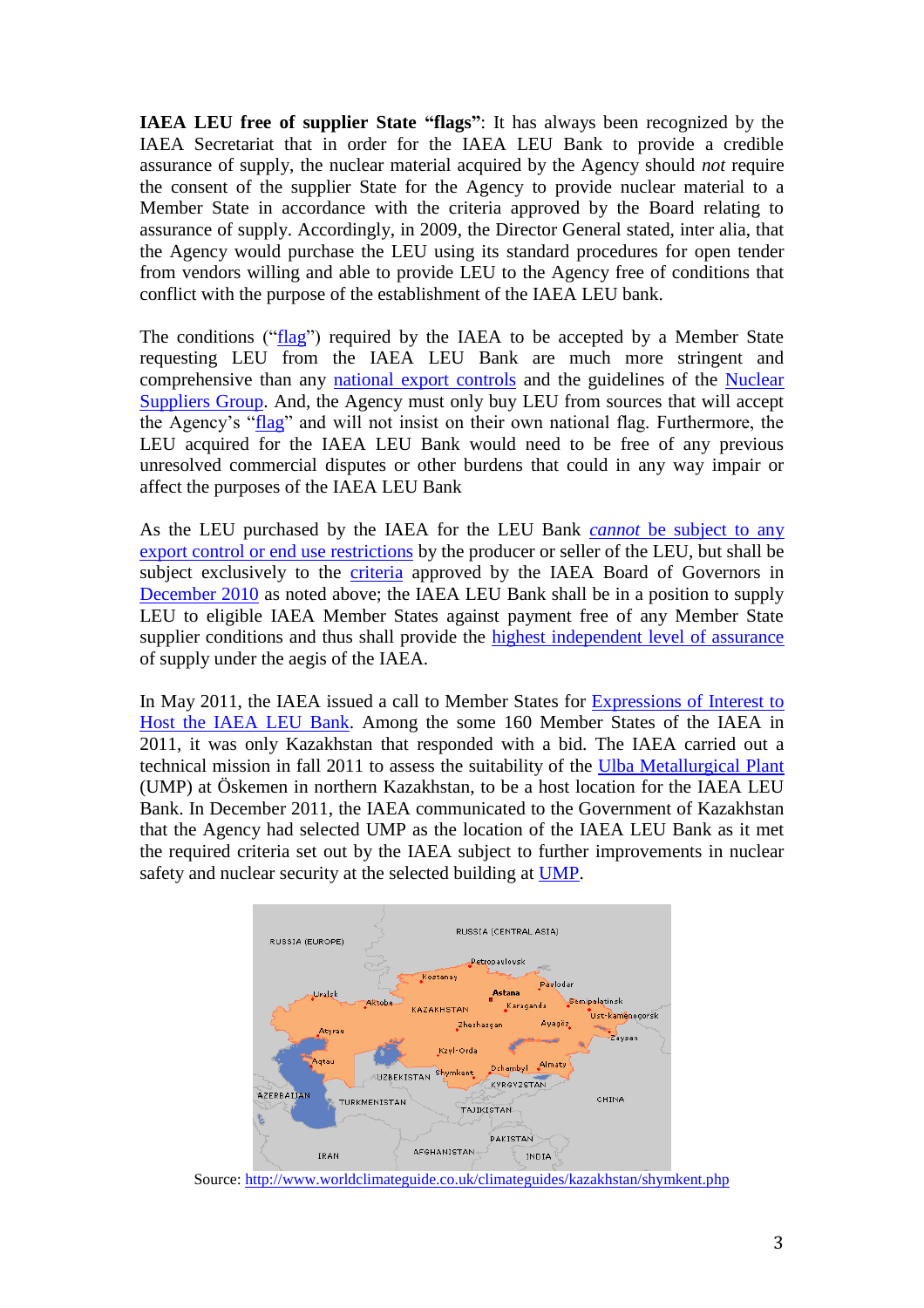**IAEA LEU free of supplier State "flags"**: It has always been recognized by the IAEA Secretariat that in order for the IAEA LEU Bank to provide a credible assurance of supply, the nuclear material acquired by the Agency should *not* require the consent of the supplier State for the Agency to provide nuclear material to a Member State in accordance with the criteria approved by the Board relating to assurance of supply. Accordingly, in 2009, the Director General stated, inter alia, that the Agency would purchase the LEU using its standard procedures for open tender from vendors willing and able to provide LEU to the Agency free of conditions that conflict with the purpose of the establishment of the IAEA LEU bank.

The conditions (["flag"](http://www.armscontrolwonk.com/files/2011/01/Support_document.pdf)) required by the IAEA to be accepted by a Member State requesting LEU from the IAEA LEU Bank are much more stringent and comprehensive than any [national export controls](https://www.state.gov/strategictrade/overview/) and the guidelines of the [Nuclear](http://www.nuclearsuppliersgroup.org/en/)  [Suppliers Group.](http://www.nuclearsuppliersgroup.org/en/) And, the Agency must only buy LEU from sources that will accept the Agency's ["flag"](http://www.armscontrolwonk.com/files/2011/01/Support_document.pdf) and will not insist on their own national flag. Furthermore, the LEU acquired for the IAEA LEU Bank would need to be free of any previous unresolved commercial disputes or other burdens that could in any way impair or affect the purposes of the IAEA LEU Bank

As the LEU purchased by the IAEA for the LEU Bank *cannot* [be subject to any](https://www.armscontrol.org/ACT/2015_10/Features/From-Atoms-for-Peace-to-an-IAEA-Nuclear-Fuel-Bank)  [export control or end use restrictions](https://www.armscontrol.org/ACT/2015_10/Features/From-Atoms-for-Peace-to-an-IAEA-Nuclear-Fuel-Bank) by the producer or seller of the LEU, but shall be subject exclusively to the [criteria](http://www.armscontrolwonk.com/files/2011/01/Support_document.pdf) approved by the IAEA Board of Governors in [December 2010](http://www.armscontrolwonk.com/files/2011/01/Support_document.pdf) as noted above; the IAEA LEU Bank shall be in a position to supply LEU to eligible IAEA Member States against payment free of any Member State supplier conditions and thus shall provide the [highest independent level of assurance](http://www.armscontrolwonk.com/files/2011/01/Support_document.pdf) of supply under the aegis of the IAEA.

In May 2011, the IAEA issued a call to Member States for [Expressions of Interest to](http://www.armscontrolwonk.com/files/2011/06/GOV_INF_2011_7.pdf)  [Host the IAEA LEU Bank.](http://www.armscontrolwonk.com/files/2011/06/GOV_INF_2011_7.pdf) Among the some 160 Member States of the IAEA in 2011, it was only Kazakhstan that responded with a bid. The IAEA carried out a technical mission in fall 2011 to assess the suitability of the [Ulba Metallurgical Plant](http://www.ulba.kz/en/) (UMP) at Öskemen in northern Kazakhstan, to be a host location for the IAEA LEU Bank. In December 2011, the IAEA communicated to the Government of Kazakhstan that the Agency had selected UMP as the location of the IAEA LEU Bank as it met the required criteria set out by the IAEA subject to further improvements in nuclear safety and nuclear security at the selected building at [UMP.](http://www.ulba.kz/en/)



Source:<http://www.worldclimateguide.co.uk/climateguides/kazakhstan/shymkent.php>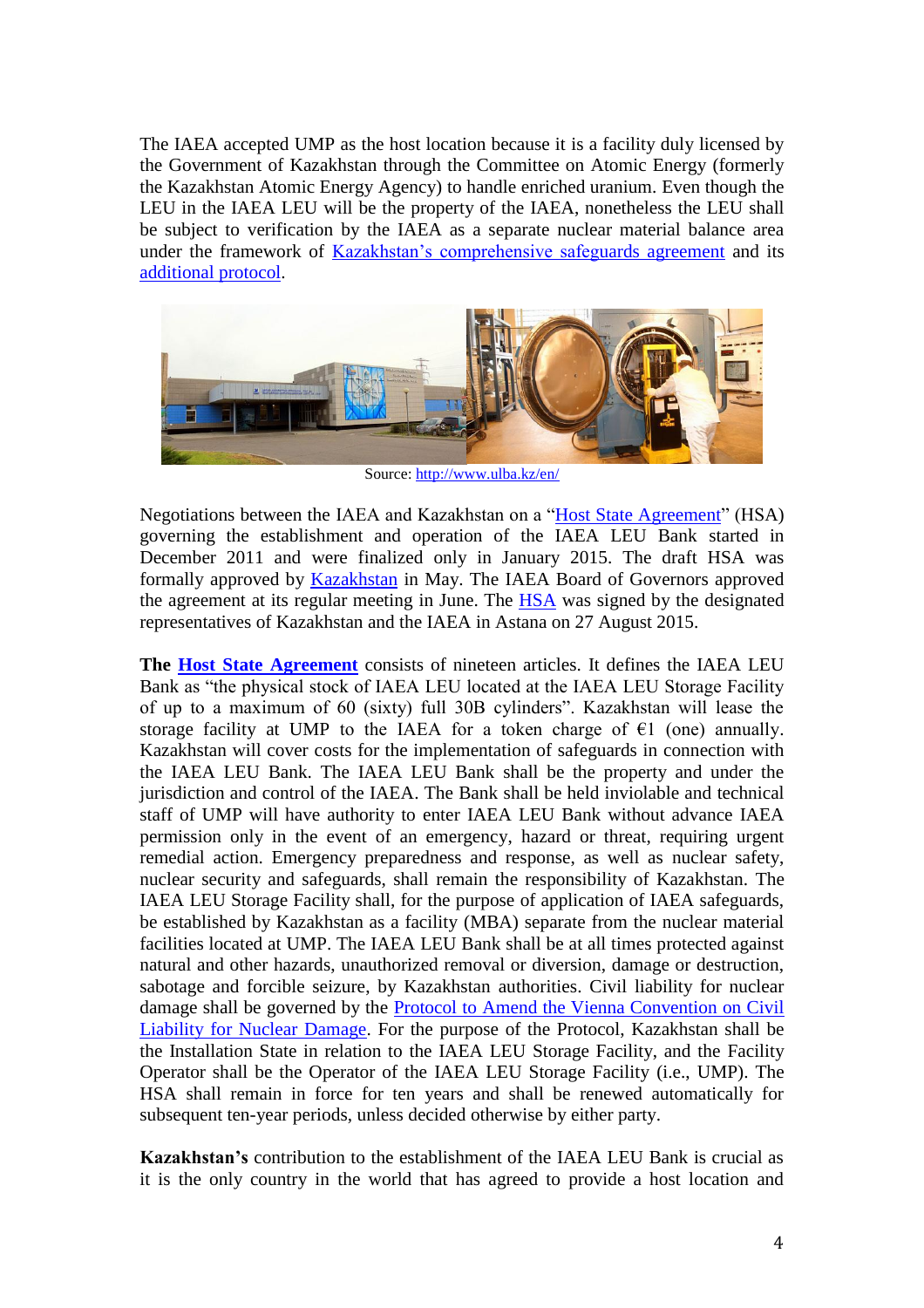The IAEA accepted UMP as the host location because it is a facility duly licensed by the Government of Kazakhstan through the Committee on Atomic Energy (formerly the Kazakhstan Atomic Energy Agency) to handle enriched uranium. Even though the LEU in the IAEA LEU will be the property of the IAEA, nonetheless the LEU shall be subject to verification by the IAEA as a separate nuclear material balance area under the framework of [Kazakhstan's comprehensive safeguards agreement](https://www.iaea.org/sites/default/files/infcirc504.pdf) and its [additional protocol.](https://www.iaea.org/sites/default/files/publications/documents/infcircs/1996/infcirc504a1.pdf)



Source:<http://www.ulba.kz/en/>

Negotiations between the IAEA and Kazakhstan on a ["Host State Agreement"](https://www.iaea.org/sites/default/files/publications/documents/infcircs/2017/infcirc916.pdf) (HSA) governing the establishment and operation of the IAEA LEU Bank started in December 2011 and were finalized only in January 2015. The draft HSA was formally approved by [Kazakhstan](http://www.kazakhstan.at/at/joomla-5/18-politics/365-kazakhstan-to-host-first-ever-leu-bank-under-iaea-auspices-2.html) in May. The IAEA Board of Governors approved the agreement at its regular meeting in June. The [HSA](https://www.iaea.org/sites/default/files/publications/documents/infcircs/2017/infcirc916.pdf) was signed by the designated representatives of Kazakhstan and the IAEA in Astana on 27 August 2015.

**The [Host State Agreement](https://www.iaea.org/sites/default/files/publications/documents/infcircs/2017/infcirc916.pdf)** consists of nineteen articles. It defines the IAEA LEU Bank as "the physical stock of IAEA LEU located at the IAEA LEU Storage Facility of up to a maximum of 60 (sixty) full 30B cylinders". Kazakhstan will lease the storage facility at UMP to the IAEA for a token charge of  $\epsilon$ 1 (one) annually. Kazakhstan will cover costs for the implementation of safeguards in connection with the IAEA LEU Bank. The IAEA LEU Bank shall be the property and under the jurisdiction and control of the IAEA. The Bank shall be held inviolable and technical staff of UMP will have authority to enter IAEA LEU Bank without advance IAEA permission only in the event of an emergency, hazard or threat, requiring urgent remedial action. Emergency preparedness and response, as well as nuclear safety, nuclear security and safeguards, shall remain the responsibility of Kazakhstan. The IAEA LEU Storage Facility shall, for the purpose of application of IAEA safeguards, be established by Kazakhstan as a facility (MBA) separate from the nuclear material facilities located at UMP. The IAEA LEU Bank shall be at all times protected against natural and other hazards, unauthorized removal or diversion, damage or destruction, sabotage and forcible seizure, by Kazakhstan authorities. Civil liability for nuclear damage shall be governed by the [Protocol to Amend the Vienna Convention on Civil](https://www.iaea.org/publications/documents/infcircs/protocol-amend-vienna-convention-civil-liability-nuclear-damage)  [Liability for Nuclear Damage.](https://www.iaea.org/publications/documents/infcircs/protocol-amend-vienna-convention-civil-liability-nuclear-damage) For the purpose of the Protocol, Kazakhstan shall be the Installation State in relation to the IAEA LEU Storage Facility, and the Facility Operator shall be the Operator of the IAEA LEU Storage Facility (i.e., UMP). The HSA shall remain in force for ten years and shall be renewed automatically for subsequent ten-year periods, unless decided otherwise by either party.

**Kazakhstan's** contribution to the establishment of the IAEA LEU Bank is crucial as it is the only country in the world that has agreed to provide a host location and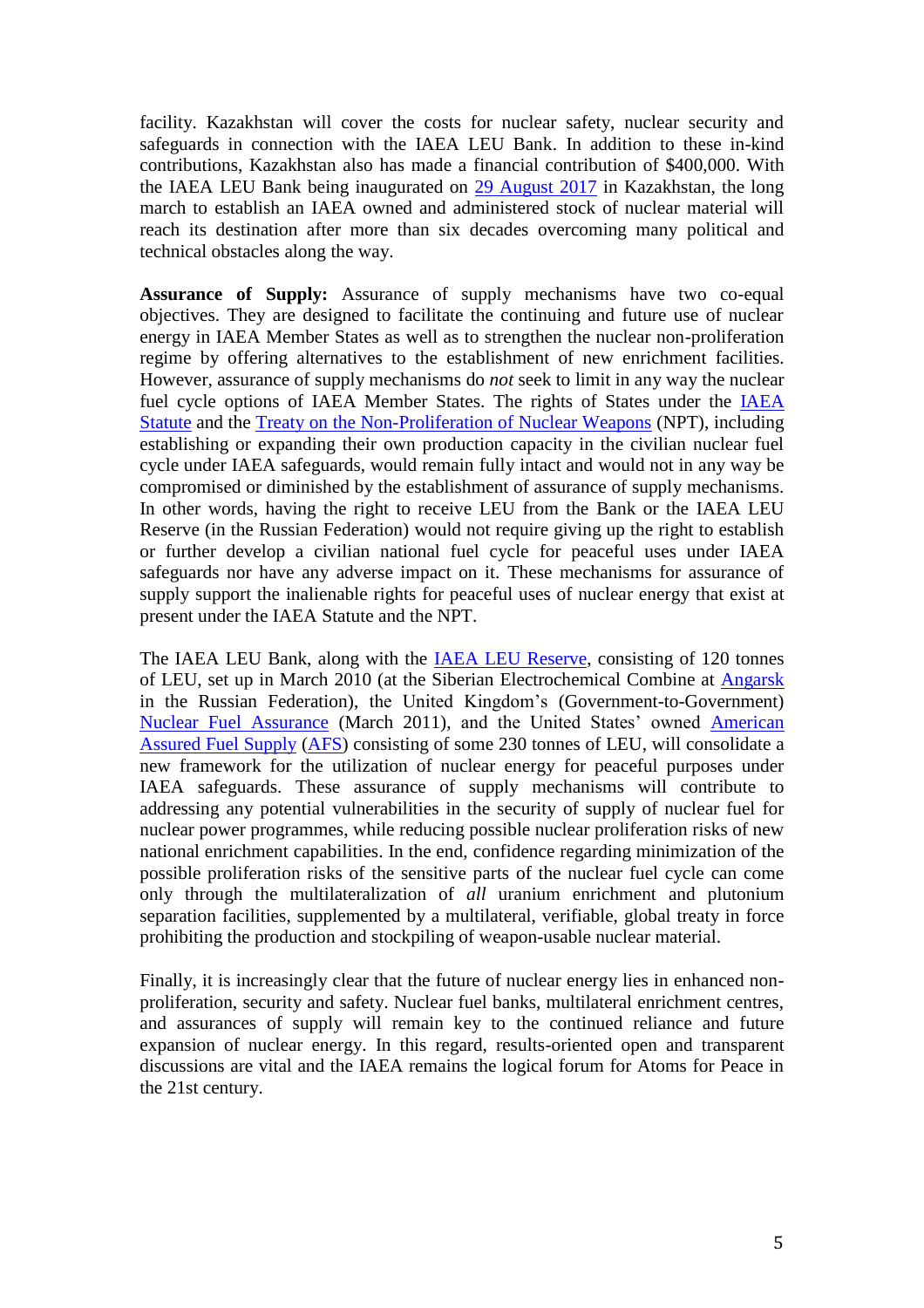facility. Kazakhstan will cover the costs for nuclear safety, nuclear security and safeguards in connection with the IAEA LEU Bank. In addition to these in-kind contributions, Kazakhstan also has made a financial contribution of \$400,000. With the IAEA LEU Bank being inaugurated on [29 August](http://astanatimes.com/2017/07/nazarbayev-announces-opening-date-for-leu-bank-in-kazakhstan/) 2017 in Kazakhstan, the long march to establish an IAEA owned and administered stock of nuclear material will reach its destination after more than six decades overcoming many political and technical obstacles along the way.

**Assurance of Supply:** Assurance of supply mechanisms have two co-equal objectives. They are designed to facilitate the continuing and future use of nuclear energy in IAEA Member States as well as to strengthen the nuclear non-proliferation regime by offering alternatives to the establishment of new enrichment facilities. However, assurance of supply mechanisms do *not* seek to limit in any way the nuclear fuel cycle options of IAEA Member States. The rights of States under the [IAEA](https://www.iaea.org/about/overview/statute)  [Statute](https://www.iaea.org/about/overview/statute) and the [Treaty on the Non-Proliferation of Nuclear Weapons](https://www.iaea.org/sites/default/files/publications/documents/infcircs/1970/infcirc140.pdf) (NPT), including establishing or expanding their own production capacity in the civilian nuclear fuel cycle under IAEA safeguards, would remain fully intact and would not in any way be compromised or diminished by the establishment of assurance of supply mechanisms. In other words, having the right to receive LEU from the Bank or the IAEA LEU Reserve (in the Russian Federation) would not require giving up the right to establish or further develop a civilian national fuel cycle for peaceful uses under IAEA safeguards nor have any adverse impact on it. These mechanisms for assurance of supply support the inalienable rights for peaceful uses of nuclear energy that exist at present under the IAEA Statute and the NPT.

The IAEA LEU Bank, along with the [IAEA LEU Reserve,](https://www.iaea.org/newscenter/news/russia-inaugurates-worlds-first-low-enriched-uranium-reserve) consisting of 120 tonnes of LEU, set up in March 2010 (at the Siberian Electrochemical Combine at [Angarsk](https://www.iaea.org/newscenter/news/russia-inaugurates-worlds-first-low-enriched-uranium-reserve) in the Russian Federation), the United Kingdom's (Government-to-Government) [Nuclear Fuel Assurance](https://www.iaea.org/OurWork/ST/NE/NEFW/Assurance-of-Supply/nuclear-fuel-assurance.html) (March 2011), and the United States' owned [American](https://nnsa.energy.gov/mediaroom/pressreleases/doennsaafs81811)  [Assured Fuel Supply](https://nnsa.energy.gov/mediaroom/pressreleases/doennsaafs81811) [\(AFS\)](http://cgs.pnnl.gov/pdfs/AFS_Stockpile_FINAL.pdf) consisting of some 230 tonnes of LEU, will consolidate a new framework for the utilization of nuclear energy for peaceful purposes under IAEA safeguards. These assurance of supply mechanisms will contribute to addressing any potential vulnerabilities in the security of supply of nuclear fuel for nuclear power programmes, while reducing possible nuclear proliferation risks of new national enrichment capabilities. In the end, confidence regarding minimization of the possible proliferation risks of the sensitive parts of the nuclear fuel cycle can come only through the multilateralization of *all* uranium enrichment and plutonium separation facilities, supplemented by a multilateral, verifiable, global treaty in force prohibiting the production and stockpiling of weapon-usable nuclear material.

Finally, it is increasingly clear that the future of nuclear energy lies in enhanced nonproliferation, security and safety. Nuclear fuel banks, multilateral enrichment centres, and assurances of supply will remain key to the continued reliance and future expansion of nuclear energy. In this regard, results-oriented open and transparent discussions are vital and the IAEA remains the logical forum for Atoms for Peace in the 21st century.